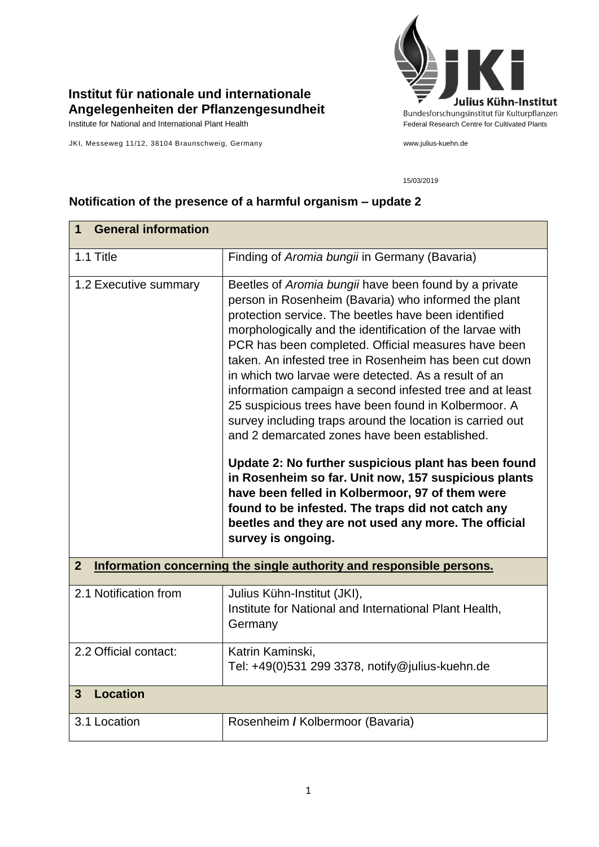

## **Institut für nationale und internationale Angelegenheiten der Pflanzengesundheit**

JKI, Messeweg 11/12, 38104 Braunschweig, Germany www.julius-kuehn.de

## 15/03/2019

| <b>General information</b><br>1                                                      |                                                                                                                                                                                                                                                                                                                                                                                                                                                                                                                                                                                                                                                                                                                                                                                                                                                                                                                                                     |  |
|--------------------------------------------------------------------------------------|-----------------------------------------------------------------------------------------------------------------------------------------------------------------------------------------------------------------------------------------------------------------------------------------------------------------------------------------------------------------------------------------------------------------------------------------------------------------------------------------------------------------------------------------------------------------------------------------------------------------------------------------------------------------------------------------------------------------------------------------------------------------------------------------------------------------------------------------------------------------------------------------------------------------------------------------------------|--|
| 1.1 Title                                                                            | Finding of Aromia bungii in Germany (Bavaria)                                                                                                                                                                                                                                                                                                                                                                                                                                                                                                                                                                                                                                                                                                                                                                                                                                                                                                       |  |
| 1.2 Executive summary                                                                | Beetles of Aromia bungii have been found by a private<br>person in Rosenheim (Bavaria) who informed the plant<br>protection service. The beetles have been identified<br>morphologically and the identification of the larvae with<br>PCR has been completed. Official measures have been<br>taken. An infested tree in Rosenheim has been cut down<br>in which two larvae were detected. As a result of an<br>information campaign a second infested tree and at least<br>25 suspicious trees have been found in Kolbermoor. A<br>survey including traps around the location is carried out<br>and 2 demarcated zones have been established.<br>Update 2: No further suspicious plant has been found<br>in Rosenheim so far. Unit now, 157 suspicious plants<br>have been felled in Kolbermoor, 97 of them were<br>found to be infested. The traps did not catch any<br>beetles and they are not used any more. The official<br>survey is ongoing. |  |
| Information concerning the single authority and responsible persons.<br>$\mathbf{2}$ |                                                                                                                                                                                                                                                                                                                                                                                                                                                                                                                                                                                                                                                                                                                                                                                                                                                                                                                                                     |  |
| 2.1 Notification from                                                                | Julius Kühn-Institut (JKI),<br>Institute for National and International Plant Health,<br>Germany                                                                                                                                                                                                                                                                                                                                                                                                                                                                                                                                                                                                                                                                                                                                                                                                                                                    |  |
| 2.2 Official contact:                                                                | Katrin Kaminski,<br>Tel: +49(0)531 299 3378, notify@julius-kuehn.de                                                                                                                                                                                                                                                                                                                                                                                                                                                                                                                                                                                                                                                                                                                                                                                                                                                                                 |  |
| <b>Location</b><br>3                                                                 |                                                                                                                                                                                                                                                                                                                                                                                                                                                                                                                                                                                                                                                                                                                                                                                                                                                                                                                                                     |  |
| 3.1 Location                                                                         | Rosenheim / Kolbermoor (Bavaria)                                                                                                                                                                                                                                                                                                                                                                                                                                                                                                                                                                                                                                                                                                                                                                                                                                                                                                                    |  |

## **Notification of the presence of a harmful organism – update 2**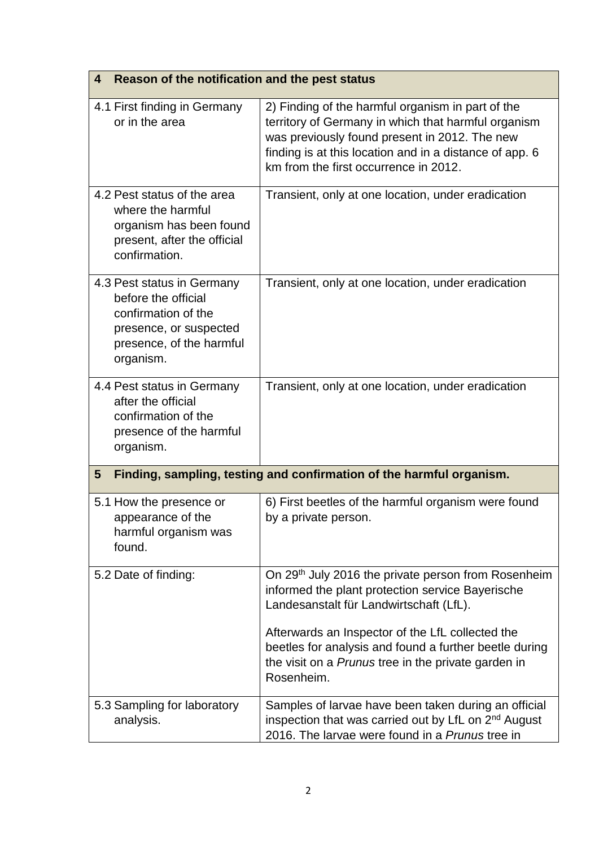| Reason of the notification and the pest status<br>4                                                                                         |                                                                                                                                                                                                                                                               |  |
|---------------------------------------------------------------------------------------------------------------------------------------------|---------------------------------------------------------------------------------------------------------------------------------------------------------------------------------------------------------------------------------------------------------------|--|
| 4.1 First finding in Germany<br>or in the area                                                                                              | 2) Finding of the harmful organism in part of the<br>territory of Germany in which that harmful organism<br>was previously found present in 2012. The new<br>finding is at this location and in a distance of app. 6<br>km from the first occurrence in 2012. |  |
| 4.2 Pest status of the area<br>where the harmful<br>organism has been found<br>present, after the official<br>confirmation.                 | Transient, only at one location, under eradication                                                                                                                                                                                                            |  |
| 4.3 Pest status in Germany<br>before the official<br>confirmation of the<br>presence, or suspected<br>presence, of the harmful<br>organism. | Transient, only at one location, under eradication                                                                                                                                                                                                            |  |
| 4.4 Pest status in Germany<br>after the official<br>confirmation of the<br>presence of the harmful<br>organism.                             | Transient, only at one location, under eradication                                                                                                                                                                                                            |  |
| Finding, sampling, testing and confirmation of the harmful organism.<br>$5\phantom{.0}$                                                     |                                                                                                                                                                                                                                                               |  |
| 5.1 How the presence or<br>appearance of the<br>harmful organism was<br>found.                                                              | 6) First beetles of the harmful organism were found<br>by a private person.                                                                                                                                                                                   |  |
| 5.2 Date of finding:                                                                                                                        | On 29 <sup>th</sup> July 2016 the private person from Rosenheim<br>informed the plant protection service Bayerische<br>Landesanstalt für Landwirtschaft (LfL).                                                                                                |  |
|                                                                                                                                             | Afterwards an Inspector of the LfL collected the<br>beetles for analysis and found a further beetle during<br>the visit on a Prunus tree in the private garden in<br>Rosenheim.                                                                               |  |
| 5.3 Sampling for laboratory<br>analysis.                                                                                                    | Samples of larvae have been taken during an official<br>inspection that was carried out by LfL on 2 <sup>nd</sup> August<br>2016. The larvae were found in a Prunus tree in                                                                                   |  |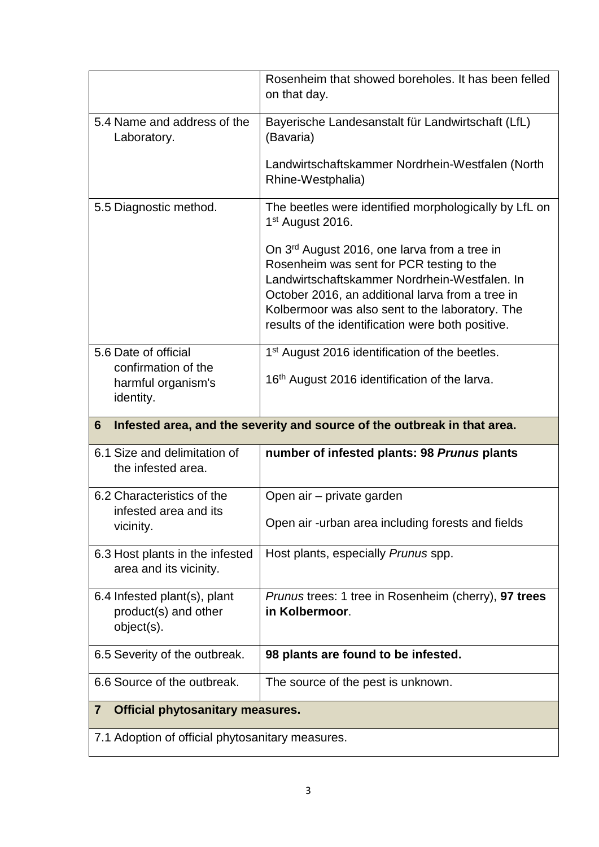|                                                                       | Rosenheim that showed boreholes. It has been felled<br>on that day.                                                                                                                                                                                                                                                |
|-----------------------------------------------------------------------|--------------------------------------------------------------------------------------------------------------------------------------------------------------------------------------------------------------------------------------------------------------------------------------------------------------------|
| 5.4 Name and address of the<br>Laboratory.                            | Bayerische Landesanstalt für Landwirtschaft (LfL)<br>(Bavaria)                                                                                                                                                                                                                                                     |
|                                                                       | Landwirtschaftskammer Nordrhein-Westfalen (North<br>Rhine-Westphalia)                                                                                                                                                                                                                                              |
| 5.5 Diagnostic method.                                                | The beetles were identified morphologically by LfL on<br>1 <sup>st</sup> August 2016.                                                                                                                                                                                                                              |
|                                                                       | On 3 <sup>rd</sup> August 2016, one larva from a tree in<br>Rosenheim was sent for PCR testing to the<br>Landwirtschaftskammer Nordrhein-Westfalen. In<br>October 2016, an additional larva from a tree in<br>Kolbermoor was also sent to the laboratory. The<br>results of the identification were both positive. |
| 5.6 Date of official<br>confirmation of the                           | 1 <sup>st</sup> August 2016 identification of the beetles.                                                                                                                                                                                                                                                         |
| harmful organism's<br>identity.                                       | 16 <sup>th</sup> August 2016 identification of the larva.                                                                                                                                                                                                                                                          |
|                                                                       |                                                                                                                                                                                                                                                                                                                    |
| 6                                                                     | Infested area, and the severity and source of the outbreak in that area.                                                                                                                                                                                                                                           |
| 6.1 Size and delimitation of<br>the infested area.                    | number of infested plants: 98 Prunus plants                                                                                                                                                                                                                                                                        |
| 6.2 Characteristics of the                                            | Open air - private garden                                                                                                                                                                                                                                                                                          |
| infested area and its<br>vicinity.                                    | Open air -urban area including forests and fields                                                                                                                                                                                                                                                                  |
| 6.3 Host plants in the infested<br>area and its vicinity.             | Host plants, especially Prunus spp.                                                                                                                                                                                                                                                                                |
| 6.4 Infested plant(s), plant<br>product(s) and other<br>$object(s)$ . | <i>Prunus</i> trees: 1 tree in Rosenheim (cherry), 97 trees<br>in Kolbermoor.                                                                                                                                                                                                                                      |
| 6.5 Severity of the outbreak.                                         | 98 plants are found to be infested.                                                                                                                                                                                                                                                                                |
| 6.6 Source of the outbreak.                                           | The source of the pest is unknown.                                                                                                                                                                                                                                                                                 |
| <b>Official phytosanitary measures.</b><br>$\overline{\mathbf{7}}$    |                                                                                                                                                                                                                                                                                                                    |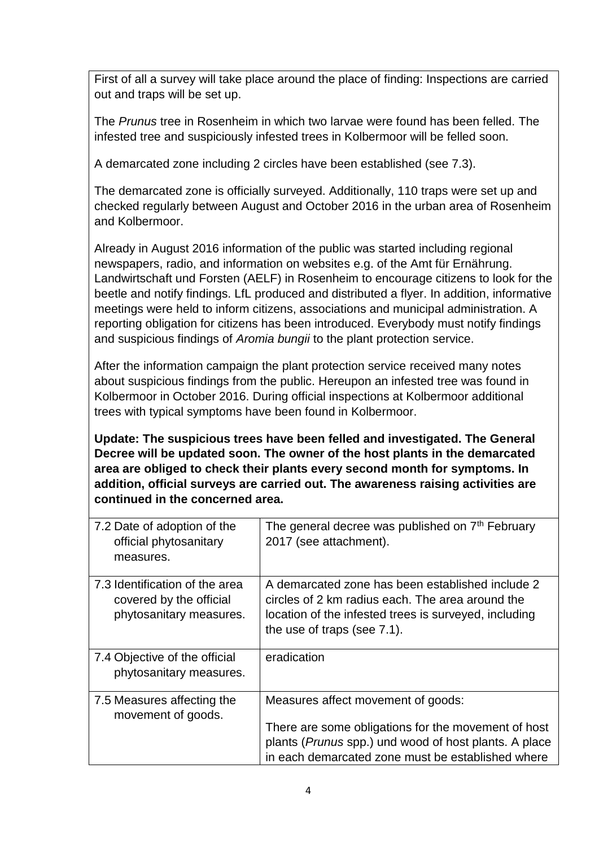First of all a survey will take place around the place of finding: Inspections are carried out and traps will be set up.

The *Prunus* tree in Rosenheim in which two larvae were found has been felled. The infested tree and suspiciously infested trees in Kolbermoor will be felled soon.

A demarcated zone including 2 circles have been established (see 7.3).

The demarcated zone is officially surveyed. Additionally, 110 traps were set up and checked regularly between August and October 2016 in the urban area of Rosenheim and Kolbermoor.

Already in August 2016 information of the public was started including regional newspapers, radio, and information on websites e.g. of the Amt für Ernährung. Landwirtschaft und Forsten (AELF) in Rosenheim to encourage citizens to look for the beetle and notify findings. LfL produced and distributed a flyer. In addition, informative meetings were held to inform citizens, associations and municipal administration. A reporting obligation for citizens has been introduced. Everybody must notify findings and suspicious findings of *Aromia bungii* to the plant protection service.

After the information campaign the plant protection service received many notes about suspicious findings from the public. Hereupon an infested tree was found in Kolbermoor in October 2016. During official inspections at Kolbermoor additional trees with typical symptoms have been found in Kolbermoor.

**Update: The suspicious trees have been felled and investigated. The General Decree will be updated soon. The owner of the host plants in the demarcated area are obliged to check their plants every second month for symptoms. In addition, official surveys are carried out. The awareness raising activities are continued in the concerned area.**

| 7.2 Date of adoption of the<br>official phytosanitary<br>measures.                   | The general decree was published on 7 <sup>th</sup> February<br>2017 (see attachment).                                                                                                                  |
|--------------------------------------------------------------------------------------|---------------------------------------------------------------------------------------------------------------------------------------------------------------------------------------------------------|
| 7.3 Identification of the area<br>covered by the official<br>phytosanitary measures. | A demarcated zone has been established include 2<br>circles of 2 km radius each. The area around the<br>location of the infested trees is surveyed, including<br>the use of traps (see 7.1).            |
| 7.4 Objective of the official<br>phytosanitary measures.                             | eradication                                                                                                                                                                                             |
| 7.5 Measures affecting the<br>movement of goods.                                     | Measures affect movement of goods:<br>There are some obligations for the movement of host<br>plants (Prunus spp.) und wood of host plants. A place<br>in each demarcated zone must be established where |